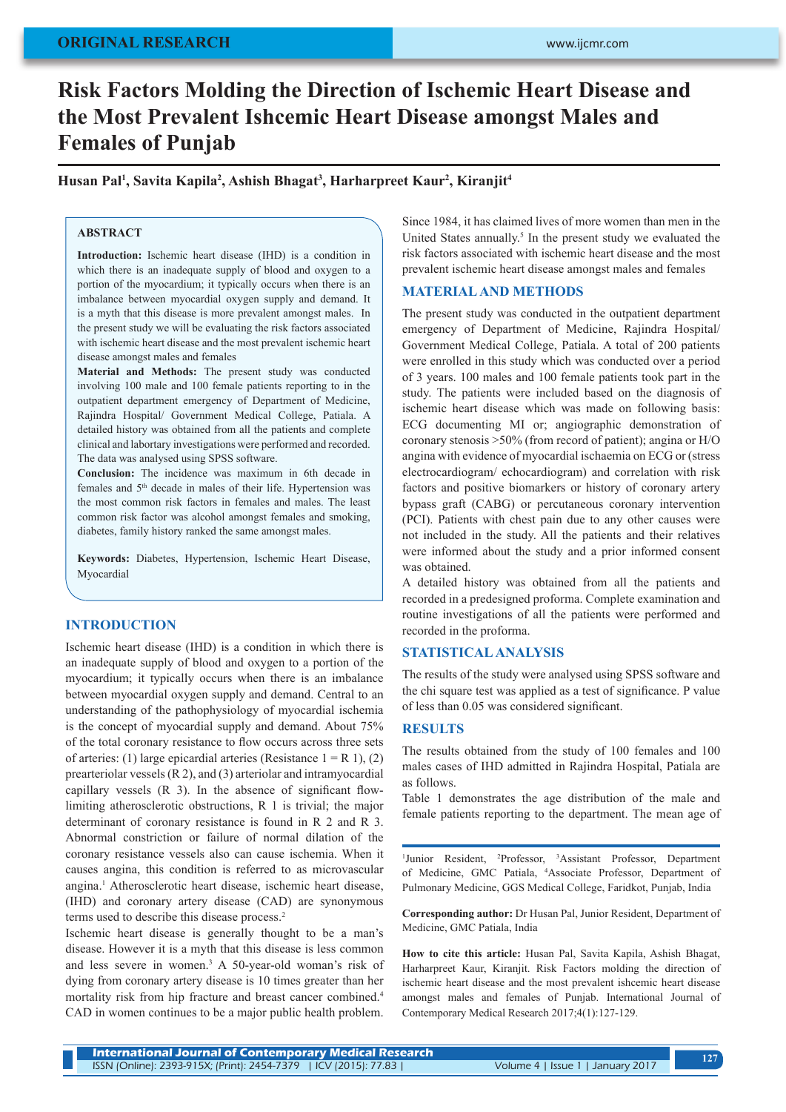# **ORIGINAL RESEARCH**

# **Risk Factors Molding the Direction of Ischemic Heart Disease and the Most Prevalent Ishcemic Heart Disease amongst Males and Females of Punjab**

**Husan Pal1 , Savita Kapila2 , Ashish Bhagat3 , Harharpreet Kaur2 , Kiranjit4**

#### **ABSTRACT**

**Introduction:** Ischemic heart disease (IHD) is a condition in which there is an inadequate supply of blood and oxygen to a portion of the myocardium; it typically occurs when there is an imbalance between myocardial oxygen supply and demand. It is a myth that this disease is more prevalent amongst males. In the present study we will be evaluating the risk factors associated with ischemic heart disease and the most prevalent ischemic heart disease amongst males and females

**Material and Methods:** The present study was conducted involving 100 male and 100 female patients reporting to in the outpatient department emergency of Department of Medicine, Rajindra Hospital/ Government Medical College, Patiala. A detailed history was obtained from all the patients and complete clinical and labortary investigations were performed and recorded. The data was analysed using SPSS software.

**Conclusion:** The incidence was maximum in 6th decade in females and 5<sup>th</sup> decade in males of their life. Hypertension was the most common risk factors in females and males. The least common risk factor was alcohol amongst females and smoking, diabetes, family history ranked the same amongst males.

**Keywords:** Diabetes, Hypertension, Ischemic Heart Disease, Myocardial

#### **INTRODUCTION**

Ischemic heart disease (IHD) is a condition in which there is an inadequate supply of blood and oxygen to a portion of the myocardium; it typically occurs when there is an imbalance between myocardial oxygen supply and demand. Central to an understanding of the pathophysiology of myocardial ischemia is the concept of myocardial supply and demand. About 75% of the total coronary resistance to flow occurs across three sets of arteries: (1) large epicardial arteries (Resistance  $1 = R 1$ ), (2) prearteriolar vessels (R 2), and (3) arteriolar and intramyocardial capillary vessels (R 3). In the absence of significant flowlimiting atherosclerotic obstructions, R 1 is trivial; the major determinant of coronary resistance is found in R 2 and R 3. Abnormal constriction or failure of normal dilation of the coronary resistance vessels also can cause ischemia. When it causes angina, this condition is referred to as microvascular angina.1 Atherosclerotic heart disease, ischemic heart disease, (IHD) and coronary artery disease (CAD) are synonymous terms used to describe this disease process.2

Ischemic heart disease is generally thought to be a man's disease. However it is a myth that this disease is less common and less severe in women.<sup>3</sup> A 50-year-old woman's risk of dying from coronary artery disease is 10 times greater than her mortality risk from hip fracture and breast cancer combined.4 CAD in women continues to be a major public health problem.

Since 1984, it has claimed lives of more women than men in the United States annually.<sup>5</sup> In the present study we evaluated the risk factors associated with ischemic heart disease and the most prevalent ischemic heart disease amongst males and females

#### **MATERIAL AND METHODS**

The present study was conducted in the outpatient department emergency of Department of Medicine, Rajindra Hospital/ Government Medical College, Patiala. A total of 200 patients were enrolled in this study which was conducted over a period of 3 years. 100 males and 100 female patients took part in the study. The patients were included based on the diagnosis of ischemic heart disease which was made on following basis: ECG documenting MI or; angiographic demonstration of coronary stenosis >50% (from record of patient); angina or H/O angina with evidence of myocardial ischaemia on ECG or (stress electrocardiogram/ echocardiogram) and correlation with risk factors and positive biomarkers or history of coronary artery bypass graft (CABG) or percutaneous coronary intervention (PCI). Patients with chest pain due to any other causes were not included in the study. All the patients and their relatives were informed about the study and a prior informed consent was obtained.

A detailed history was obtained from all the patients and recorded in a predesigned proforma. Complete examination and routine investigations of all the patients were performed and recorded in the proforma.

#### **STATISTICAL ANALYSIS**

The results of the study were analysed using SPSS software and the chi square test was applied as a test of significance. P value of less than 0.05 was considered significant.

### **RESULTS**

The results obtained from the study of 100 females and 100 males cases of IHD admitted in Rajindra Hospital, Patiala are as follows.

Table 1 demonstrates the age distribution of the male and female patients reporting to the department. The mean age of

<sup>1</sup>Junior Resident, <sup>2</sup>Professor, <sup>3</sup>Assistant Professor, Department of Medicine, GMC Patiala, 4 Associate Professor, Department of Pulmonary Medicine, GGS Medical College, Faridkot, Punjab, India

**Corresponding author:** Dr Husan Pal, Junior Resident, Department of Medicine, GMC Patiala, India

**How to cite this article:** Husan Pal, Savita Kapila, Ashish Bhagat, Harharpreet Kaur, Kiranjit. Risk Factors molding the direction of ischemic heart disease and the most prevalent ishcemic heart disease amongst males and females of Punjab. International Journal of Contemporary Medical Research 2017;4(1):127-129.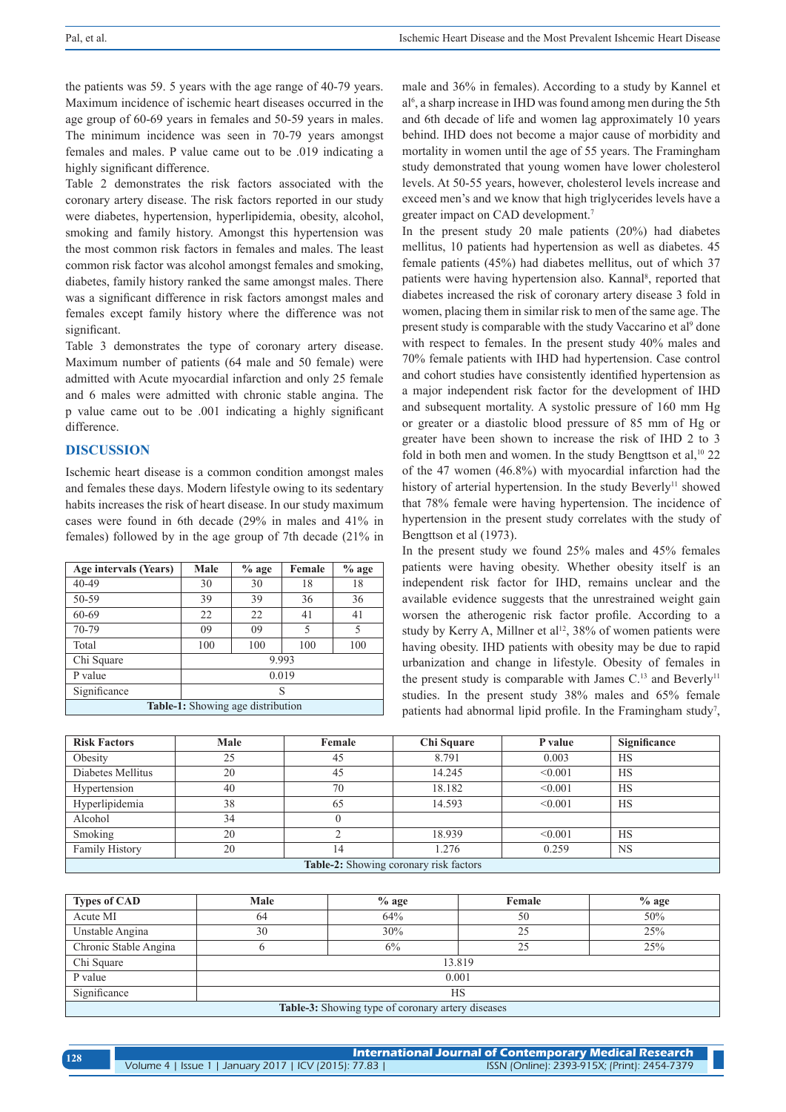the patients was 59. 5 years with the age range of 40-79 years. Maximum incidence of ischemic heart diseases occurred in the age group of 60-69 years in females and 50-59 years in males. The minimum incidence was seen in 70-79 years amongst females and males. P value came out to be .019 indicating a highly significant difference.

Table 2 demonstrates the risk factors associated with the coronary artery disease. The risk factors reported in our study were diabetes, hypertension, hyperlipidemia, obesity, alcohol, smoking and family history. Amongst this hypertension was the most common risk factors in females and males. The least common risk factor was alcohol amongst females and smoking, diabetes, family history ranked the same amongst males. There was a significant difference in risk factors amongst males and females except family history where the difference was not significant.

Table 3 demonstrates the type of coronary artery disease. Maximum number of patients (64 male and 50 female) were admitted with Acute myocardial infarction and only 25 female and 6 males were admitted with chronic stable angina. The p value came out to be .001 indicating a highly significant difference.

## **DISCUSSION**

Ischemic heart disease is a common condition amongst males and females these days. Modern lifestyle owing to its sedentary habits increases the risk of heart disease. In our study maximum cases were found in 6th decade (29% in males and 41% in females) followed by in the age group of 7th decade (21% in

| Age intervals (Years)             | Male  | $%$ age | Female | $%$ age |  |
|-----------------------------------|-------|---------|--------|---------|--|
| $40 - 49$                         | 30    | 30      | 18     | 18      |  |
| 50-59                             | 39    | 39      | 36     | 36      |  |
| 60-69                             | 22    | 22      | 41     | 41      |  |
| 70-79                             | 09    | 09      | 5      | 5       |  |
| Total                             | 100   | 100     | 100    | 100     |  |
| Chi Square                        | 9.993 |         |        |         |  |
| P value                           | 0.019 |         |        |         |  |
| Significance                      | S     |         |        |         |  |
| Table-1: Showing age distribution |       |         |        |         |  |

male and 36% in females). According to a study by Kannel et al6 , a sharp increase in IHD was found among men during the 5th and 6th decade of life and women lag approximately 10 years behind. IHD does not become a major cause of morbidity and mortality in women until the age of 55 years. The Framingham study demonstrated that young women have lower cholesterol levels. At 50-55 years, however, cholesterol levels increase and exceed men's and we know that high triglycerides levels have a greater impact on CAD development.7

In the present study 20 male patients (20%) had diabetes mellitus, 10 patients had hypertension as well as diabetes. 45 female patients (45%) had diabetes mellitus, out of which 37 patients were having hypertension also. Kannal<sup>8</sup>, reported that diabetes increased the risk of coronary artery disease 3 fold in women, placing them in similar risk to men of the same age. The present study is comparable with the study Vaccarino et al<sup>9</sup> done with respect to females. In the present study 40% males and 70% female patients with IHD had hypertension. Case control and cohort studies have consistently identified hypertension as a major independent risk factor for the development of IHD and subsequent mortality. A systolic pressure of 160 mm Hg or greater or a diastolic blood pressure of 85 mm of Hg or greater have been shown to increase the risk of IHD 2 to 3 fold in both men and women. In the study Bengttson et al,<sup>10</sup> 22 of the 47 women (46.8%) with myocardial infarction had the history of arterial hypertension. In the study Beverly<sup>11</sup> showed that 78% female were having hypertension. The incidence of hypertension in the present study correlates with the study of Bengttson et al (1973).

In the present study we found 25% males and 45% females patients were having obesity. Whether obesity itself is an independent risk factor for IHD, remains unclear and the available evidence suggests that the unrestrained weight gain worsen the atherogenic risk factor profile. According to a study by Kerry A, Millner et al<sup>12</sup>, 38% of women patients were having obesity. IHD patients with obesity may be due to rapid urbanization and change in lifestyle. Obesity of females in the present study is comparable with James  $C<sup>13</sup>$  and Beverly<sup>11</sup> studies. In the present study 38% males and 65% female patients had abnormal lipid profile. In the Framingham study<sup>7</sup>,

| <b>Risk Factors</b>                    | Male | Female | Chi Square | P value | <b>Significance</b> |  |
|----------------------------------------|------|--------|------------|---------|---------------------|--|
| Obesity                                | 25   | 45     | 8.791      | 0.003   | <b>HS</b>           |  |
| Diabetes Mellitus                      | 20   | 45     | 14.245     | < 0.001 | <b>HS</b>           |  |
| Hypertension                           | 40   | 70     | 18.182     | < 0.001 | <b>HS</b>           |  |
| Hyperlipidemia                         | 38   | 65     | 14.593     | < 0.001 | <b>HS</b>           |  |
| Alcohol                                | 34   |        |            |         |                     |  |
| Smoking                                | 20   |        | 18.939     | < 0.001 | <b>HS</b>           |  |
| <b>Family History</b>                  | 20   | ۱4     | .276       | 0.259   | <b>NS</b>           |  |
| Table 2. Showing coronary risk factors |      |        |            |         |                     |  |

**Table-2:** Showing coronary risk factors

| <b>Types of CAD</b>                                      | Male   | $%$ age | Female | $%$ age |  |  |
|----------------------------------------------------------|--------|---------|--------|---------|--|--|
| Acute MI                                                 | 64     | 64%     | 50     | 50%     |  |  |
| Unstable Angina                                          | 30     | 30%     | 25     | 25%     |  |  |
| Chronic Stable Angina                                    |        | 6%      | 25     | 25%     |  |  |
| Chi Square                                               | 13.819 |         |        |         |  |  |
| P value                                                  | 0.001  |         |        |         |  |  |
| Significance                                             | HS     |         |        |         |  |  |
| <b>Table-3:</b> Showing type of coronary artery diseases |        |         |        |         |  |  |